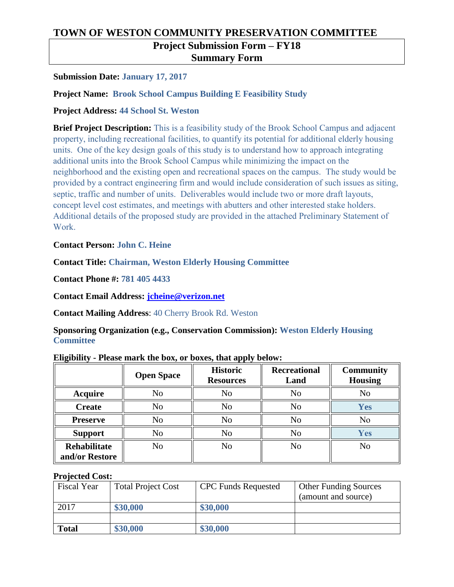# **TOWN OF WESTON COMMUNITY PRESERVATION COMMITTEE**

## **Project Submission Form – FY18**

#### **Summary Form**

#### **Submission Date: January 17, 2017**

#### **Project Name: Brook School Campus Building E Feasibility Study**

#### **Project Address: 44 School St. Weston**

**Brief Project Description: This is a feasibility study of the Brook School Campus and adjacent property, including recreational facilities, to quantify its potential for additional elderly housing units. One of the key design goals of this study is to understand how to approach integrating additional units into the Brook School Campus while minimizing the impact on the neighborhood and the existing open and recreational spaces on the campus. The study would be provided by a contract engineering firm and would include consideration of such issues as siting, septic, traffic and number of units. Deliverables would include two or more draft layouts, concept level cost estimates, and meetings with abutters and other interested stake holders. Additional details of the proposed study are provided in the attached Preliminary Statement of Work.** 

#### **Contact Person: John C. Heine**

#### **Contact Title: Chairman, Weston Elderly Housing Committee**

**Contact Phone #: 781 405 4433**

**Contact Email Address: [jcheine@verizon.net](mailto:jcheine@verizon.net)**

**Contact Mailing Address**: 40 Cherry Brook Rd. Weston

**Sponsoring Organization (e.g., Conservation Commission): Weston Elderly Housing Committee**

|                                       | <b>Open Space</b> | <b>Historic</b><br><b>Resources</b> | <b>Recreational</b><br>Land | <b>Community</b><br><b>Housing</b> |
|---------------------------------------|-------------------|-------------------------------------|-----------------------------|------------------------------------|
| <b>Acquire</b>                        | No                | N <sub>o</sub>                      | N <sub>o</sub>              | N <sub>o</sub>                     |
| <b>Create</b>                         | No                | No                                  | N <sub>o</sub>              | Yes                                |
| <b>Preserve</b>                       | No                | No                                  | N <sub>o</sub>              | N <sub>0</sub>                     |
| <b>Support</b>                        | No                | No                                  | N <sub>o</sub>              | Yes                                |
| <b>Rehabilitate</b><br>and/or Restore | No                | N <sub>o</sub>                      | N <sub>o</sub>              | N <sub>o</sub>                     |

#### **Eligibility - Please mark the box, or boxes, that apply below:**

#### **Projected Cost:**

| <b>Fiscal Year</b> | <b>Total Project Cost</b> | <b>CPC</b> Funds Requested | <b>Other Funding Sources</b><br>(amount and source) |
|--------------------|---------------------------|----------------------------|-----------------------------------------------------|
| 2017               | \$30,000                  | \$30,000                   |                                                     |
|                    |                           |                            |                                                     |
| <b>Total</b>       | \$30,000                  | \$30,000                   |                                                     |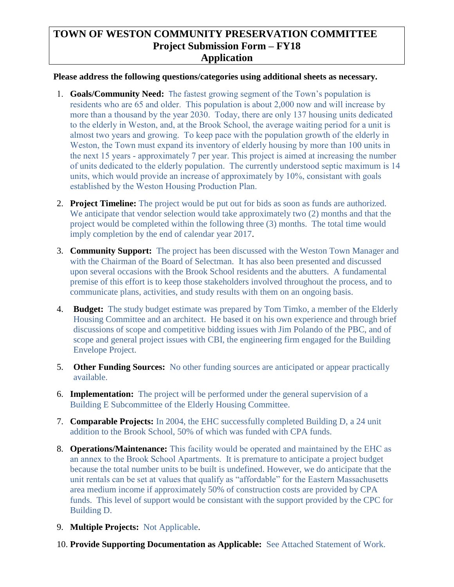### **TOWN OF WESTON COMMUNITY PRESERVATION COMMITTEE Project Submission Form – FY18 Application**

#### **Please address the following questions/categories using additional sheets as necessary.**

- **1. Goals/Community Need:** T**he fastest growing segment of the Town's population is residents who are 65 and older. This population is about 2,000 now and will increase by more than a thousand by the year 2030. Today, there are only 137 housing units dedicated to the elderly in Weston, and, at the Brook School, the average waiting period for a unit is almost two years and growing. To keep pace with the population growth of the elderly in Weston, the Town must expand its inventory of elderly housing by more than 100 units in the next 15 years - approximately 7 per year. This project is aimed at increasing the number of units dedicated to the elderly population. The currently understood septic maximum is 14 units, which would provide an increase of approximately by 10%, consistant with goals established by the Weston Housing Production Plan.**
- 2. **Project Timeline:** The project would be put out for bids as soon as funds are authorized. We anticipate that vendor selection would take approximately two  $(2)$  months and that the project would be completed within the following three (3) months. The total time would imply completion by the end of calendar year 2017.
- 3. **Community Support:** The project has been discussed with the Weston Town Manager and with the Chairman of the Board of Selectman. It has also been presented and discussed upon several occasions with the Brook School residents and the abutters. A fundamental premise of this effort is to keep those stakeholders involved throughout the process, and to communicate plans, activities, and study results with them on an ongoing basis.
- 4. **Budget:** The study budget estimate was prepared by Tom Timko, a member of the Elderly Housing Committee and an architect. He based it on his own experience and through brief discussions of scope and competitive bidding issues with Jim Polando of the PBC, and of scope and general project issues with CBI, the engineering firm engaged for the Building Envelope Project.
- 5. **Other Funding Sources:** No other funding sources are anticipated or appear practically available.
- 6. **Implementation:** The project will be performed under the general supervision of a Building E Subcommittee of the Elderly Housing Committee.
- 7. **Comparable Projects:** In 2004, the EHC successfully completed Building D, a 24 unit addition to the Brook School, 50% of which was funded with CPA funds.
- 8. **Operations/Maintenance: This facility would be operated and maintained by the EHC as an annex to the Brook School Apartments.** It is premature to anticipate a project budget because the total number units to be built is undefined. However, we do anticipate that the unit rentals can be set at values that qualify as "affordable" for the Eastern Massachusetts area medium income if approximately 50% of construction costs are provided by CPA funds. This level of support would be consistant with the support provided by the CPC for Building D.
- 9. **Multiple Projects:** Not Applicable.
- 10. **Provide Supporting Documentation as Applicable:** See Attached Statement of Work.